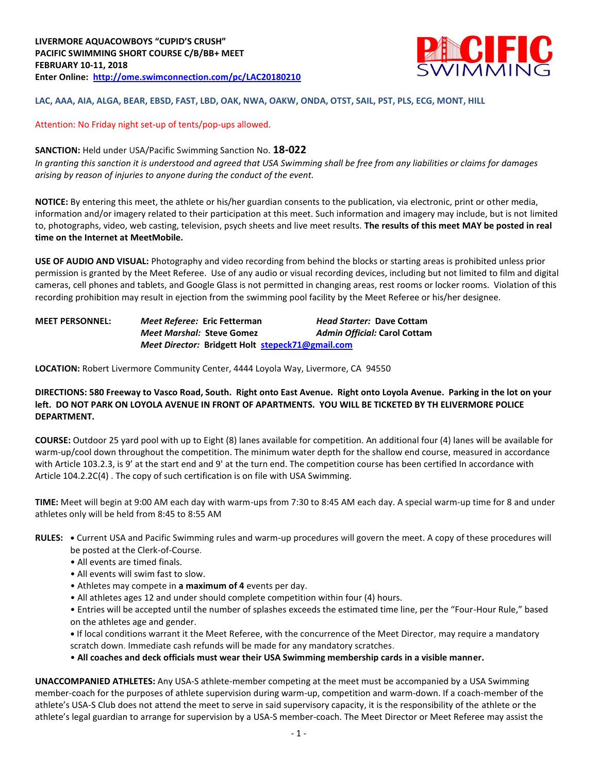

### **LAC, AAA, AIA, ALGA, BEAR, EBSD, FAST, LBD, OAK, NWA, OAKW, ONDA, OTST, SAIL, PST, PLS, ECG, MONT, HILL**

### Attention: No Friday night set-up of tents/pop-ups allowed.

#### **SANCTION:** Held under USA/Pacific Swimming Sanction No. **18-022**

*In granting this sanction it is understood and agreed that USA Swimming shall be free from any liabilities or claims for damages arising by reason of injuries to anyone during the conduct of the event.*

**NOTICE:** By entering this meet, the athlete or his/her guardian consents to the publication, via electronic, print or other media, information and/or imagery related to their participation at this meet. Such information and imagery may include, but is not limited to, photographs, video, web casting, television, psych sheets and live meet results. **The results of this meet MAY be posted in real time on the Internet at MeetMobile.**

**USE OF AUDIO AND VISUAL:** Photography and video recording from behind the blocks or starting areas is prohibited unless prior permission is granted by the Meet Referee. Use of any audio or visual recording devices, including but not limited to film and digital cameras, cell phones and tablets, and Google Glass is not permitted in changing areas, rest rooms or locker rooms. Violation of this recording prohibition may result in ejection from the swimming pool facility by the Meet Referee or his/her designee.

**MEET PERSONNEL:** *Meet Referee:* **Eric Fetterman** *Head Starter:* **Dave Cottam** *Meet Marshal:* **Steve Gomez** *Admin Official:* **Carol Cottam** *Meet Director:* **Bridgett Holt [stepeck71@gmail.com](mailto:stepeck71@gmail.com)**

**LOCATION:** Robert Livermore Community Center, 4444 Loyola Way, Livermore, CA 94550

### **DIRECTIONS: 580 Freeway to Vasco Road, South. Right onto East Avenue. Right onto Loyola Avenue. Parking in the lot on your left. DO NOT PARK ON LOYOLA AVENUE IN FRONT OF APARTMENTS. YOU WILL BE TICKETED BY TH ELIVERMORE POLICE DEPARTMENT.**

**COURSE:** Outdoor 25 yard pool with up to Eight (8) lanes available for competition. An additional four (4) lanes will be available for warm-up/cool down throughout the competition. The minimum water depth for the shallow end course, measured in accordance with Article 103.2.3, is 9' at the start end and 9' at the turn end. The competition course has been certified In accordance with Article 104.2.2C(4) . The copy of such certification is on file with USA Swimming.

**TIME:** Meet will begin at 9:00 AM each day with warm-ups from 7:30 to 8:45 AM each day. A special warm-up time for 8 and under athletes only will be held from 8:45 to 8:55 AM

- **RULES: •** Current USA and Pacific Swimming rules and warm-up procedures will govern the meet. A copy of these procedures will be posted at the Clerk-of-Course.
	- All events are timed finals.
	- All events will swim fast to slow.
	- Athletes may compete in **a maximum of 4** events per day.
	- All athletes ages 12 and under should complete competition within four (4) hours.

• Entries will be accepted until the number of splashes exceeds the estimated time line, per the "Four-Hour Rule," based on the athletes age and gender.

**•** If local conditions warrant it the Meet Referee, with the concurrence of the Meet Director, may require a mandatory scratch down. Immediate cash refunds will be made for any mandatory scratches.

• **All coaches and deck officials must wear their USA Swimming membership cards in a visible manner.** 

**UNACCOMPANIED ATHLETES:** Any USA-S athlete-member competing at the meet must be accompanied by a USA Swimming member-coach for the purposes of athlete supervision during warm-up, competition and warm-down. If a coach-member of the athlete's USA-S Club does not attend the meet to serve in said supervisory capacity, it is the responsibility of the athlete or the athlete's legal guardian to arrange for supervision by a USA-S member-coach. The Meet Director or Meet Referee may assist the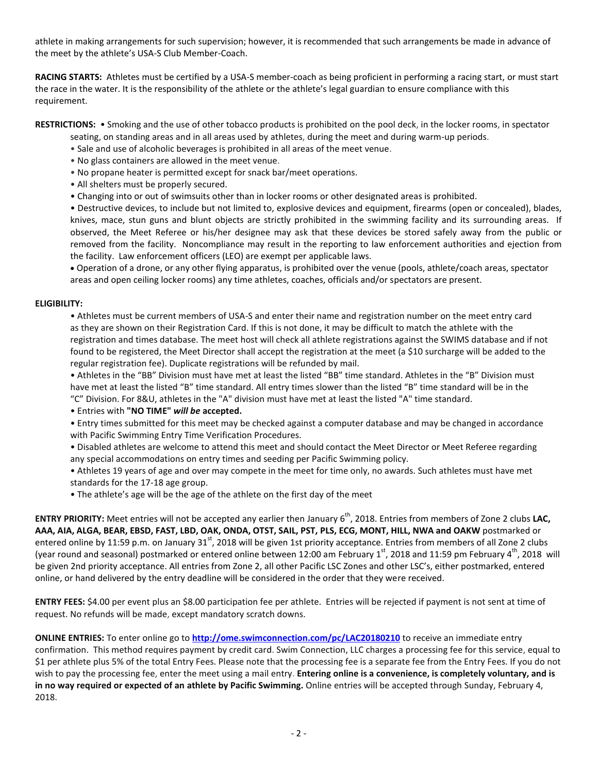athlete in making arrangements for such supervision; however, it is recommended that such arrangements be made in advance of the meet by the athlete's USA-S Club Member-Coach.

**RACING STARTS:** Athletes must be certified by a USA-S member-coach as being proficient in performing a racing start, or must start the race in the water. It is the responsibility of the athlete or the athlete's legal guardian to ensure compliance with this requirement.

**RESTRICTIONS:** • Smoking and the use of other tobacco products is prohibited on the pool deck, in the locker rooms, in spectator

seating, on standing areas and in all areas used by athletes, during the meet and during warm-up periods.

- Sale and use of alcoholic beverages is prohibited in all areas of the meet venue.
- No glass containers are allowed in the meet venue.
- No propane heater is permitted except for snack bar/meet operations.
- All shelters must be properly secured.
- Changing into or out of swimsuits other than in locker rooms or other designated areas is prohibited.

• Destructive devices, to include but not limited to, explosive devices and equipment, firearms (open or concealed), blades, knives, mace, stun guns and blunt objects are strictly prohibited in the swimming facility and its surrounding areas. If observed, the Meet Referee or his/her designee may ask that these devices be stored safely away from the public or removed from the facility. Noncompliance may result in the reporting to law enforcement authorities and ejection from the facility. Law enforcement officers (LEO) are exempt per applicable laws.

 Operation of a drone, or any other flying apparatus, is prohibited over the venue (pools, athlete/coach areas, spectator areas and open ceiling locker rooms) any time athletes, coaches, officials and/or spectators are present.

### **ELIGIBILITY:**

• Athletes must be current members of USA-S and enter their name and registration number on the meet entry card as they are shown on their Registration Card. If this is not done, it may be difficult to match the athlete with the registration and times database. The meet host will check all athlete registrations against the SWIMS database and if not found to be registered, the Meet Director shall accept the registration at the meet (a \$10 surcharge will be added to the regular registration fee). Duplicate registrations will be refunded by mail.

• Athletes in the "BB" Division must have met at least the listed "BB" time standard. Athletes in the "B" Division must have met at least the listed "B" time standard. All entry times slower than the listed "B" time standard will be in the "C" Division. For 8&U, athletes in the "A" division must have met at least the listed "A" time standard.

• Entries with **"NO TIME"** *will be* **accepted.**

• Entry times submitted for this meet may be checked against a computer database and may be changed in accordance with Pacific Swimming Entry Time Verification Procedures.

• Disabled athletes are welcome to attend this meet and should contact the Meet Director or Meet Referee regarding any special accommodations on entry times and seeding per Pacific Swimming policy.

• Athletes 19 years of age and over may compete in the meet for time only, no awards. Such athletes must have met standards for the 17-18 age group.

• The athlete's age will be the age of the athlete on the first day of the meet

**ENTRY PRIORITY:** Meet entries will not be accepted any earlier then January 6<sup>th</sup>, 2018. Entries from members of Zone 2 clubs LAC, **AAA, AIA, ALGA, BEAR, EBSD, FAST, LBD, OAK, ONDA, OTST, SAIL, PST, PLS, ECG, MONT, HILL, NWA and OAKW** postmarked or entered online by 11:59 p.m. on January 31<sup>st</sup>, 2018 will be given 1st priority acceptance. Entries from members of all Zone 2 clubs (year round and seasonal) postmarked or entered online between 12:00 am February 1<sup>st</sup>, 2018 and 11:59 pm February 4<sup>th</sup>, 2018 will be given 2nd priority acceptance. All entries from Zone 2, all other Pacific LSC Zones and other LSC's, either postmarked, entered online, or hand delivered by the entry deadline will be considered in the order that they were received.

**ENTRY FEES:** \$4.00 per event plus an \$8.00 participation fee per athlete. Entries will be rejected if payment is not sent at time of request. No refunds will be made, except mandatory scratch downs.

**ONLINE ENTRIES:** To enter online go to **<http://ome.swimconnection.com/pc/LAC20180210>** to receive an immediate entry confirmation. This method requires payment by credit card. Swim Connection, LLC charges a processing fee for this service, equal to \$1 per athlete plus 5% of the total Entry Fees. Please note that the processing fee is a separate fee from the Entry Fees. If you do not wish to pay the processing fee, enter the meet using a mail entry. **Entering online is a convenience, is completely voluntary, and is in no way required or expected of an athlete by Pacific Swimming.** Online entries will be accepted through Sunday, February 4, 2018.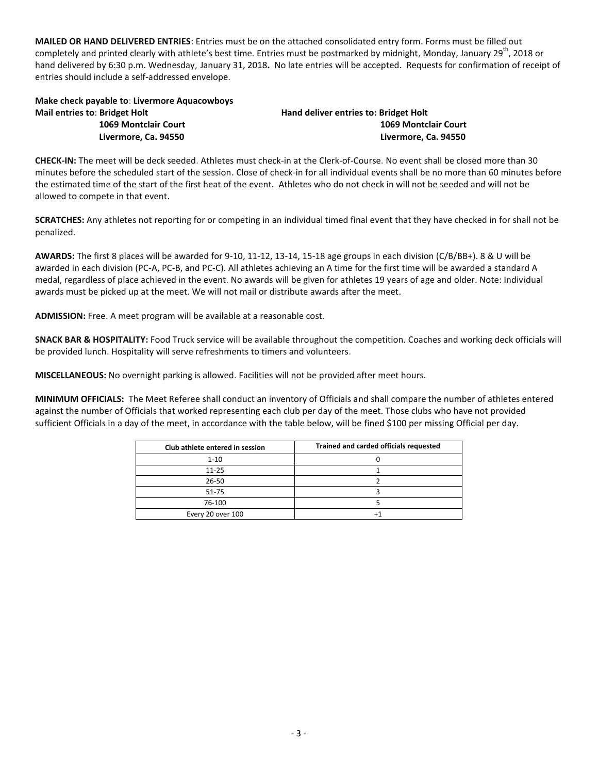**MAILED OR HAND DELIVERED ENTRIES**: Entries must be on the attached consolidated entry form. Forms must be filled out completely and printed clearly with athlete's best time. Entries must be postmarked by midnight, Monday, January 29<sup>th</sup>, 2018 or hand delivered by 6:30 p.m. Wednesday, January 31, 2018**.** No late entries will be accepted. Requests for confirmation of receipt of entries should include a self-addressed envelope.

# **Make check payable to**: **Livermore Aquacowboys Mail entries to**: **Bridget Holt Hand deliver entries to: Bridget Holt**

 **1069 Montclair Court 1069 Montclair Court Livermore, Ca. 94550 Livermore, Ca. 94550**

**CHECK-IN:** The meet will be deck seeded. Athletes must check-in at the Clerk-of-Course. No event shall be closed more than 30 minutes before the scheduled start of the session. Close of check-in for all individual events shall be no more than 60 minutes before the estimated time of the start of the first heat of the event. Athletes who do not check in will not be seeded and will not be allowed to compete in that event.

**SCRATCHES:** Any athletes not reporting for or competing in an individual timed final event that they have checked in for shall not be penalized.

**AWARDS:** The first 8 places will be awarded for 9-10, 11-12, 13-14, 15-18 age groups in each division (C/B/BB+). 8 & U will be awarded in each division (PC-A, PC-B, and PC-C). All athletes achieving an A time for the first time will be awarded a standard A medal, regardless of place achieved in the event. No awards will be given for athletes 19 years of age and older. Note: Individual awards must be picked up at the meet. We will not mail or distribute awards after the meet.

**ADMISSION:** Free. A meet program will be available at a reasonable cost.

**SNACK BAR & HOSPITALITY:** Food Truck service will be available throughout the competition. Coaches and working deck officials will be provided lunch. Hospitality will serve refreshments to timers and volunteers.

**MISCELLANEOUS:** No overnight parking is allowed. Facilities will not be provided after meet hours.

**MINIMUM OFFICIALS:** The Meet Referee shall conduct an inventory of Officials and shall compare the number of athletes entered against the number of Officials that worked representing each club per day of the meet. Those clubs who have not provided sufficient Officials in a day of the meet, in accordance with the table below, will be fined \$100 per missing Official per day.

| Club athlete entered in session | Trained and carded officials requested |
|---------------------------------|----------------------------------------|
| $1 - 10$                        |                                        |
| $11 - 25$                       |                                        |
| $26 - 50$                       |                                        |
| 51-75                           |                                        |
| 76-100                          |                                        |
| Every 20 over 100               |                                        |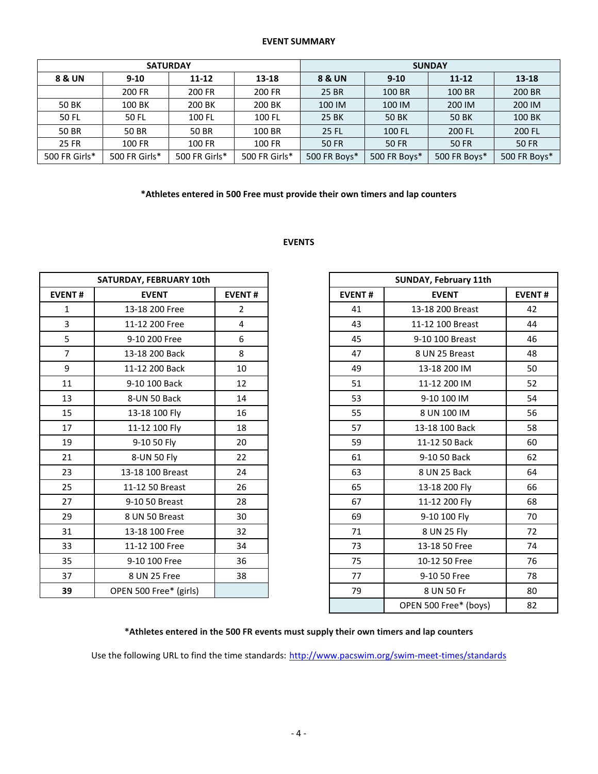### **EVENT SUMMARY**

|               |               | <b>SATURDAY</b>    |               | <b>SUNDAY</b>     |              |              |              |  |  |  |
|---------------|---------------|--------------------|---------------|-------------------|--------------|--------------|--------------|--|--|--|
| 8 & UN        | $9 - 10$      | $11 - 12$<br>13-18 |               | <b>8 &amp; UN</b> | $9 - 10$     | $11 - 12$    | 13-18        |  |  |  |
|               | 200 FR        | 200 FR             | 200 FR        | 25 BR             | 100 BR       | 100 BR       | 200 BR       |  |  |  |
| 50 BK         | 100 BK        | 200 BK             | 200 BK        | 100 IM            | 100 IM       | 200 IM       | 200 IM       |  |  |  |
| 50 FL         | 50 FL         | 100 FL             | 100 FL        | 25 BK             | 50 BK        | 50 BK        | 100 BK       |  |  |  |
| 50 BR         | 50 BR         | 50 BR              | 100 BR        | 25 FL             | 100 FL       | 200 FL       | 200 FL       |  |  |  |
| 25 FR         | 100 FR        | 100 FR             | 100 FR        | <b>50 FR</b>      | 50 FR        | 50 FR        | <b>50 FR</b> |  |  |  |
| 500 FR Girls* | 500 FR Girls* | 500 FR Girls*      | 500 FR Girls* | 500 FR Boys*      | 500 FR Boys* | 500 FR Boys* | 500 FR Boys* |  |  |  |

### **\*Athletes entered in 500 Free must provide their own timers and lap counters**

## **EVENTS**

| SATURDAY, FEBRUARY 10th |                        |                |
|-------------------------|------------------------|----------------|
| <b>EVENT#</b>           | <b>EVENT</b>           | <b>EVENT#</b>  |
| $\mathbf{1}$            | 13-18 200 Free         | $\overline{2}$ |
| 3                       | 11-12 200 Free         | 4              |
| 5                       | 9-10 200 Free          | 6              |
| $\overline{7}$          | 13-18 200 Back         | 8              |
| 9                       | 11-12 200 Back         | 10             |
| 11                      | 9-10 100 Back          | 12             |
| 13                      | 8-UN 50 Back           | 14             |
| 15                      | 13-18 100 Fly          | 16             |
| 17                      | 11-12 100 Fly          | 18             |
| 19                      | 9-10 50 Fly            | 20             |
| 21                      | 8-UN 50 Fly            | 22             |
| 23                      | 13-18 100 Breast       | 24             |
| 25                      | 11-12 50 Breast        | 26             |
| 27                      | 9-10 50 Breast         | 28             |
| 29                      | 8 UN 50 Breast         | 30             |
| 31                      | 13-18 100 Free         | 32             |
| 33                      | 11-12 100 Free         | 34             |
| 35                      | 9-10 100 Free          | 36             |
| 37                      | 8 UN 25 Free           | 38             |
| 39                      | OPEN 500 Free* (girls) |                |

| SATURDAY, FEBRUARY 10th |                        |                |
|-------------------------|------------------------|----------------|
| <b>EVENT#</b>           | <b>EVENT</b>           | <b>EVENT#</b>  |
| $\mathbf{1}$            | 13-18 200 Free         | $\overline{2}$ |
| $\overline{3}$          | 11-12 200 Free         | 4              |
| 5                       | 9-10 200 Free          | 6              |
| $\overline{7}$          | 13-18 200 Back         | 8              |
| 9                       | 11-12 200 Back         | 10             |
| 11                      | 9-10 100 Back          | 12             |
| 13                      | 8-UN 50 Back           | 14             |
| 15                      | 13-18 100 Fly          | 16             |
| 17                      | 11-12 100 Fly          | 18             |
| 19                      | 9-10 50 Fly            | 20             |
| 21                      | 8-UN 50 Fly            | 22             |
| 23                      | 13-18 100 Breast       | 24             |
| 25                      | 11-12 50 Breast        | 26             |
| 27                      | 9-10 50 Breast         | 28             |
| 29                      | 8 UN 50 Breast         | 30             |
| 31                      | 13-18 100 Free         | 32             |
| 33                      | 11-12 100 Free         | 34             |
| 35                      | 9-10 100 Free          | 36             |
| 37                      | 8 UN 25 Free           | 38             |
| 39                      | OPEN 500 Free* (girls) |                |
|                         |                        |                |

### **\*Athletes entered in the 500 FR events must supply their own timers and lap counters**

Use the following URL to find the time standards: <http://www.pacswim.org/swim-meet-times/standards>